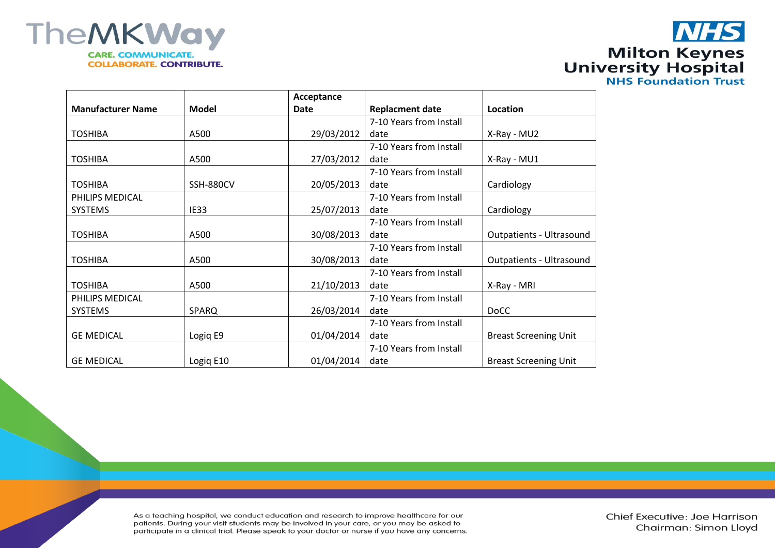



|                  | Acceptance |                         |                                 |
|------------------|------------|-------------------------|---------------------------------|
| Model            | Date       | <b>Replacment date</b>  | Location                        |
|                  |            | 7-10 Years from Install |                                 |
| A500             | 29/03/2012 | date                    | X-Ray - MU2                     |
|                  |            | 7-10 Years from Install |                                 |
| A500             | 27/03/2012 | date                    | X-Ray - MU1                     |
|                  |            | 7-10 Years from Install |                                 |
| <b>SSH-880CV</b> | 20/05/2013 | date                    | Cardiology                      |
|                  |            | 7-10 Years from Install |                                 |
| IE33             | 25/07/2013 | date                    | Cardiology                      |
|                  |            | 7-10 Years from Install |                                 |
| A500             | 30/08/2013 | date                    | <b>Outpatients - Ultrasound</b> |
|                  |            | 7-10 Years from Install |                                 |
| A500             | 30/08/2013 | date                    | <b>Outpatients - Ultrasound</b> |
|                  |            | 7-10 Years from Install |                                 |
| A500             | 21/10/2013 | date                    | X-Ray - MRI                     |
|                  |            | 7-10 Years from Install |                                 |
| SPARQ            | 26/03/2014 | date                    | <b>DoCC</b>                     |
|                  |            | 7-10 Years from Install |                                 |
| Logiq E9         | 01/04/2014 | date                    | <b>Breast Screening Unit</b>    |
|                  |            | 7-10 Years from Install |                                 |
| Logiq E10        | 01/04/2014 | date                    | <b>Breast Screening Unit</b>    |
|                  |            |                         |                                 |

As a teaching hospital, we conduct education and research to improve healthcare for our patients. During your visit students may be involved in your care, or you may be asked to participate in a clinical trial. Please speak to your doctor or nurse if you have any concerns.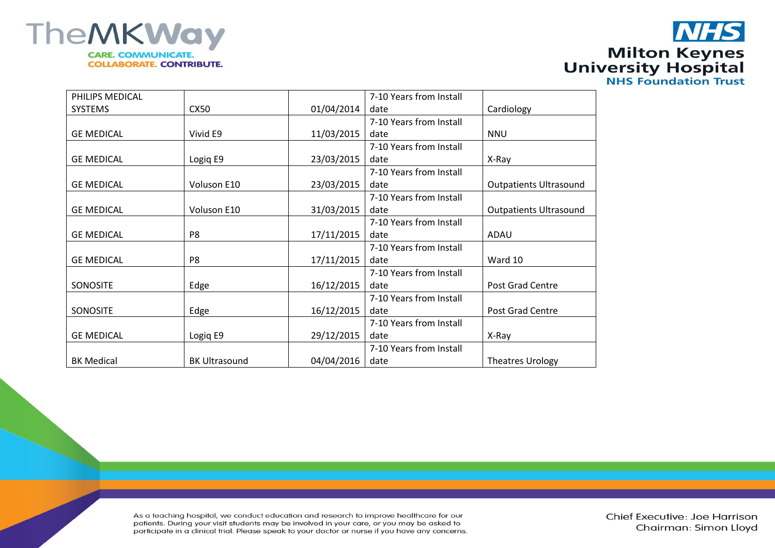



| PHILIPS MEDICAL   |                      |            | 7-10 Years from Install |                               |
|-------------------|----------------------|------------|-------------------------|-------------------------------|
| <b>SYSTEMS</b>    | CX50                 | 01/04/2014 | date                    | Cardiology                    |
|                   |                      |            | 7-10 Years from Install |                               |
| <b>GE MEDICAL</b> | Vivid E9             | 11/03/2015 | date                    | <b>NNU</b>                    |
|                   |                      |            | 7-10 Years from Install |                               |
| <b>GE MEDICAL</b> | Logiq E9             | 23/03/2015 | date                    | X-Ray                         |
|                   |                      |            | 7-10 Years from Install |                               |
| <b>GE MEDICAL</b> | Voluson E10          | 23/03/2015 | date                    | <b>Outpatients Ultrasound</b> |
|                   |                      |            | 7-10 Years from Install |                               |
| <b>GE MEDICAL</b> | Voluson E10          | 31/03/2015 | date                    | <b>Outpatients Ultrasound</b> |
|                   |                      |            | 7-10 Years from Install |                               |
| <b>GE MEDICAL</b> | P8                   | 17/11/2015 | date                    | ADAU                          |
|                   |                      |            | 7-10 Years from Install |                               |
| <b>GE MEDICAL</b> | P8                   | 17/11/2015 | date                    | Ward 10                       |
|                   |                      |            | 7-10 Years from Install |                               |
| <b>SONOSITE</b>   | Edge                 | 16/12/2015 | date                    | Post Grad Centre              |
|                   |                      |            | 7-10 Years from Install |                               |
| <b>SONOSITE</b>   | Edge                 | 16/12/2015 | date                    | Post Grad Centre              |
|                   |                      |            | 7-10 Years from Install |                               |
| <b>GE MEDICAL</b> | Logiq E9             | 29/12/2015 | date                    | X-Ray                         |
|                   |                      |            | 7-10 Years from Install |                               |
| <b>BK Medical</b> | <b>BK Ultrasound</b> | 04/04/2016 | date                    | <b>Theatres Urology</b>       |

As a teaching hospital, we conduct education and research to improve healthcare for our patients. During your visit students may be involved in your care, or you may be asked to participate in a clinical trial. Please speak to your doctor or nurse if you have any concerns.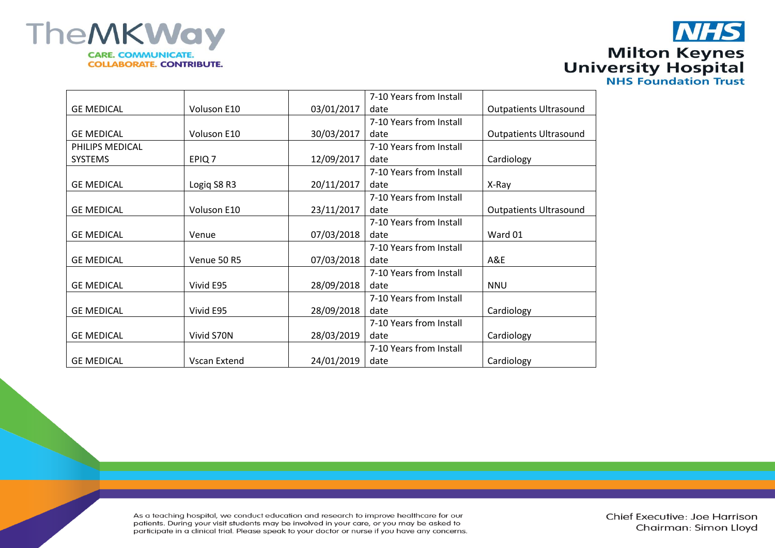

## **NHS Milton Keynes<br>University Hospital<br>NHS Foundation Trust**

|                   |                     |            | 7-10 Years from Install |                               |
|-------------------|---------------------|------------|-------------------------|-------------------------------|
| <b>GE MEDICAL</b> | Voluson E10         | 03/01/2017 | date                    | <b>Outpatients Ultrasound</b> |
|                   |                     |            | 7-10 Years from Install |                               |
| <b>GE MEDICAL</b> | Voluson E10         | 30/03/2017 | date                    | <b>Outpatients Ultrasound</b> |
| PHILIPS MEDICAL   |                     |            | 7-10 Years from Install |                               |
| <b>SYSTEMS</b>    | EPIQ <sub>7</sub>   | 12/09/2017 | date                    | Cardiology                    |
|                   |                     |            | 7-10 Years from Install |                               |
| <b>GE MEDICAL</b> | Logiq S8 R3         | 20/11/2017 | date                    | X-Ray                         |
|                   |                     |            | 7-10 Years from Install |                               |
| <b>GE MEDICAL</b> | Voluson E10         | 23/11/2017 | date                    | <b>Outpatients Ultrasound</b> |
|                   |                     |            | 7-10 Years from Install |                               |
| <b>GE MEDICAL</b> | Venue               | 07/03/2018 | date                    | Ward 01                       |
|                   |                     |            | 7-10 Years from Install |                               |
| <b>GE MEDICAL</b> | Venue 50 R5         | 07/03/2018 | date                    | A&E                           |
|                   |                     |            | 7-10 Years from Install |                               |
| <b>GE MEDICAL</b> | Vivid E95           | 28/09/2018 | date                    | <b>NNU</b>                    |
|                   |                     |            | 7-10 Years from Install |                               |
| <b>GE MEDICAL</b> | Vivid E95           | 28/09/2018 | date                    | Cardiology                    |
|                   |                     |            | 7-10 Years from Install |                               |
| <b>GE MEDICAL</b> | Vivid S70N          | 28/03/2019 | date                    | Cardiology                    |
|                   |                     |            | 7-10 Years from Install |                               |
| <b>GE MEDICAL</b> | <b>Vscan Extend</b> | 24/01/2019 | date                    | Cardiology                    |

As a teaching hospital, we conduct education and research to improve healthcare for our patients. During your visit students may be involved in your care, or you may be asked to participate in a clinical trial. Please speak to your doctor or nurse if you have any concerns.